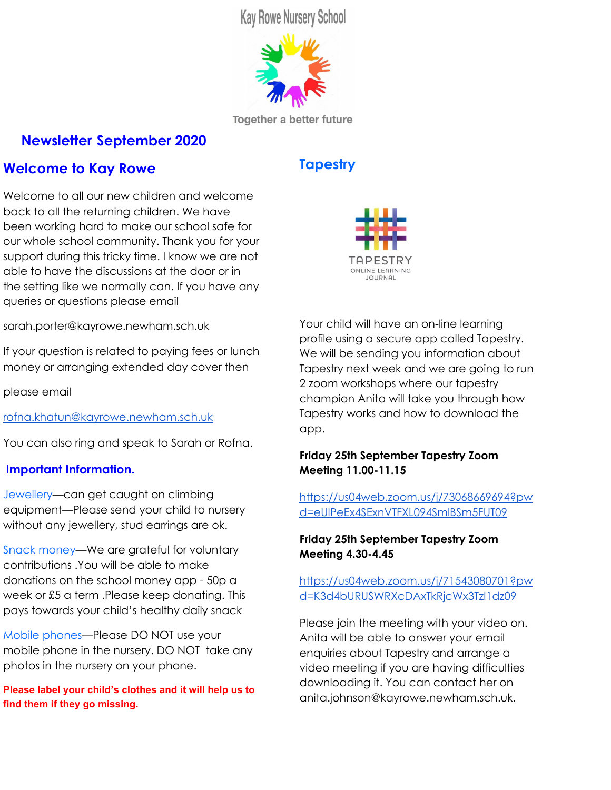**Kay Rowe Nursery School** 



**Together a better future** 

# **Newsletter September 2020**

# **Welcome to Kay Rowe**

Welcome to all our new children and welcome back to all the returning children. We have been working hard to make our school safe for our whole school community. Thank you for your support during this tricky time. I know we are not able to have the discussions at the door or in the setting like we normally can. If you have any queries or questions please email

sarah.porter@kayrowe.newham.sch.uk

If your question is related to paying fees or lunch money or arranging extended day cover then

please email

[rofna.khatun@kayrowe.newham.sch.uk](mailto:rofna.khatun@kayrowe.newham.sch.uk)

You can also ring and speak to Sarah or Rofna.

### I**mportant Information.**

Jewellery—can get caught on climbing equipment—Please send your child to nursery without any jewellery, stud earrings are ok.

Snack money—We are grateful for voluntary contributions .You will be able to make donations on the school money app - 50p a week or £5 a term .Please keep donating. This pays towards your child's healthy daily snack

Mobile phones—Please DO NOT use your mobile phone in the nursery. DO NOT take any photos in the nursery on your phone.

**Please label your child's clothes and it will help us to find them if they go missing.**

# **Tapestry**



Your child will have an on-line learning profile using a secure app called Tapestry. We will be sending you information about Tapestry next week and we are going to run 2 zoom workshops where our tapestry champion Anita will take you through how Tapestry works and how to download the app.

### **Friday 25th September Tapestry Zoom Meeting 11.00-11.15**

[https://us04web.zoom.us/j/73068669694?pw](https://us04web.zoom.us/j/73068669694?pwd=eUlPeEx4SExnVTFXL094SmlBSm5FUT09) [d=eUlPeEx4SExnVTFXL094SmlBSm5FUT09](https://us04web.zoom.us/j/73068669694?pwd=eUlPeEx4SExnVTFXL094SmlBSm5FUT09)

### **Friday 25th September Tapestry Zoom Meeting 4.30-4.45**

[https://us04web.zoom.us/j/71543080701?pw](https://us04web.zoom.us/j/71543080701?pwd=K3d4bURUSWRXcDAxTkRjcWx3TzI1dz09) [d=K3d4bURUSWRXcDAxTkRjcWx3TzI1dz09](https://us04web.zoom.us/j/71543080701?pwd=K3d4bURUSWRXcDAxTkRjcWx3TzI1dz09)

Please join the meeting with your video on. Anita will be able to answer your email enquiries about Tapestry and arrange a video meeting if you are having difficulties downloading it. You can contact her on anita.johnson@kayrowe.newham.sch.uk.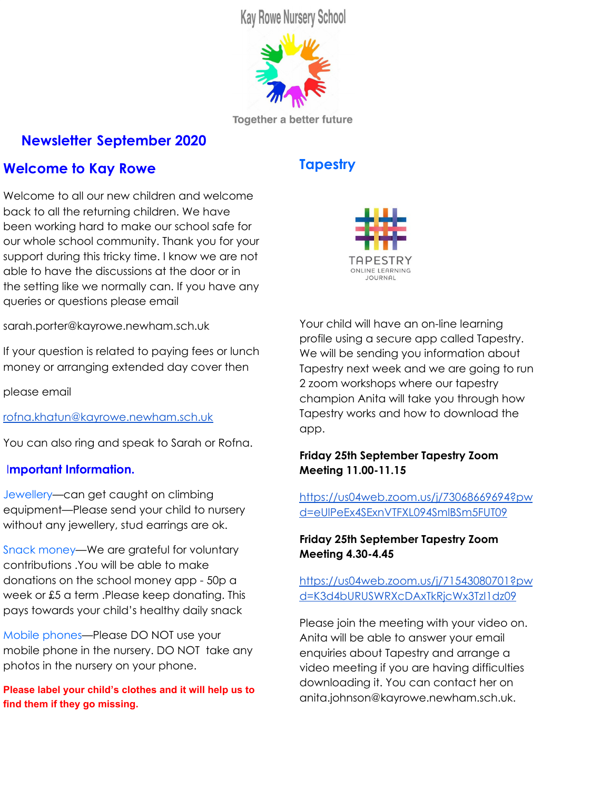# **Outside play is a really important part of your child's development .**

The children love playing and exploring outside—it really helps if they have a warm waterproof coat and strong waterproof boots or shoes and a bag of spare clothes on their peg. If they love being outside and playing with water you may want to send them some waterproof trousers as well. Please ask staff if you need advice on what to buy. Lidl often have children's rainwear on offer .



## **How Children learn at Kay Rowe.**

We believe that children are naturally curious about the world around them. Our nursery is a place where all children can follow their interests and lead their own learning supported by interested and qualified staff. Development is not an automatic process, it depends on each child having opportunities to interact in positive relationships and enabling environments. We follow government guidance on early years to set standards for the learning, development and care of your child during the years they are with us.

#### **Observations**

We observe children as they act and interact in their play, everyday and planned activities. We also learn from parents and carers own observations about what the child does at home.

#### **Assessments.**

We use our observations and those of parents to identify where the child is in their developmental journey

#### **Planning**

We consider and discuss ways to support the child to strengthen and deepen their current learning and development and reflecting on our relationships with the children

ÁÁ ÁÁ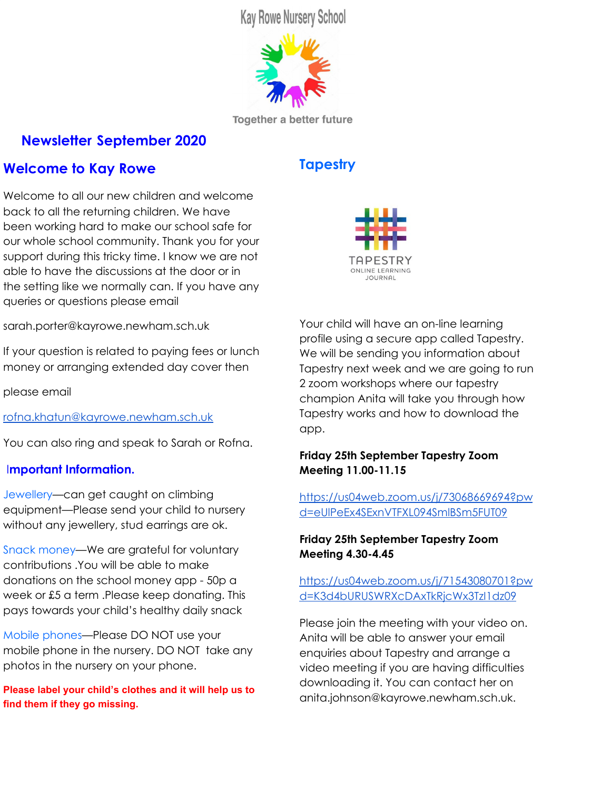### **Free flow play and independent learning.**

Our nursery is a place where all children can follow their interests and lead their own learning supported by staff. Staff will observe children closely, intervene when appropriate, and plan for future play possibilities.

The nursery is set up as a workshop environment with resources at child height. Independently accessing resources allows children to become effective decision makers, enhancing their play and learning experiences. These opportunities are planned and based on children's interests and curiosities at nursery and home and new experiences which will engage them**.**

### **How do we work in partnership with parents?**

As a nursery school and children's centre we are committed to working with parents and acknowledge that knowledge sharing with parents is very powerful and has a lasting impact on children's outcomes. We really encourage you to engage in your child's learning through checking in with the key person and sharing information from home, This will be harder this year and we encourage you all to email your key person and use our online learning journal tapestry.

### **Inclusive setting.**

We are an inclusive setting working with children at all stages of development. We always focus on children's achievements and look at children as learners no matter what their starting points are. If you would like to know more about our inclusion policy please come and chat to Sarah.

### **Getting to know each other.**

This term our theme will be 'Getting to know each other'**.**We are supporting the children to settle into nursery and develop their independence skills. Please support us at home by helping your child to dress themselves, tidy up their toys and of course wash their hands and wipe their own nose if they have a cold.



#### **Forest School at Kay Rowe.**

We have regular fortnightly fires at the nursery.These are very small and only a few children at a time will be able to sit round and watch the fire. It is a very exciting experience for the children and encourages lots of language as we talk about what they can see.

#### **Forest School.**

At some point during their time at nursery your child will be invited to come on a 5 week forest school program where they will go to the woods. We are so happy that COVID guidelines mean we can carry on doing this although we cannot do our normal visit to the beach at the end of the 5 weeks. We are very lucky to have a trained Forest school leader, Nadia, as part of our team. She leads the Forest school program.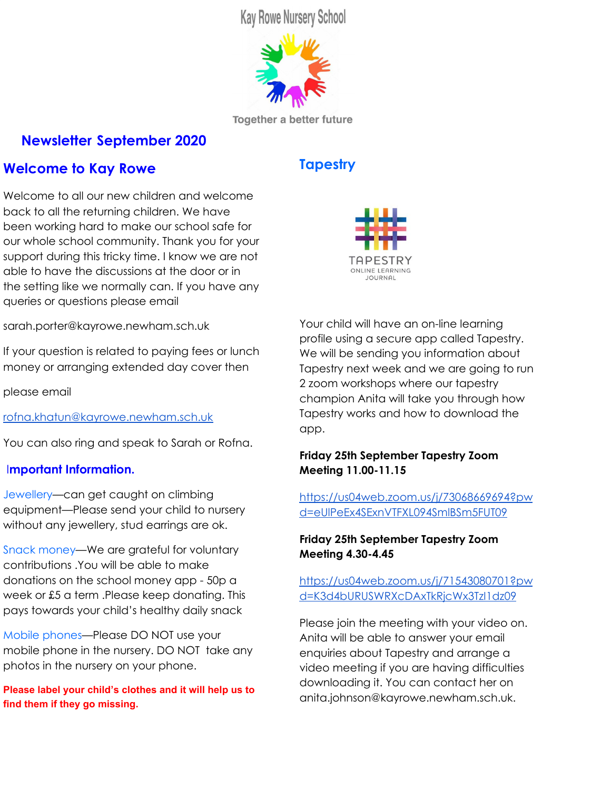#### **Anti-racist Statement.**



The recent tragic and shocking death of George Floyd has rightly galvanised support across the world for the Black Lives Matter movement, and we want to reassure our school community of our commitment to anti-racism, diversity, inclusion, and social justice within the early years, where children learn values that will build the society of the future**.**

We want all the children, families and practitioners at Kay Rowe to feel equally safe, as valued, respected citizens within our setting and in wider society.

As a school we have a role in ensuring that all voices are heard and valued, that discriminatory language and behaviours are challenged and that diversity in its all forms is embraced

We will be reflecting as a staff on our resources and our practice and ensuring that all our resources reflect the diversity we see across society.



We have a secure online payment portal called school money. This is how you will pay your fees for lunch and extended day and full time provision. You will be sent details about school money by Rofna on monday and you will then be able to download the school money app. Rofna will send you an activation code to use with your code and then you should be able to start using it straight away to pay your fees/lunches. Rofna will let you know what happens if you pay by vouchers.Please email Rofna with any queries

## **Keeping your child safe!**

Kay Rowe has a responsibility to safeguard and promote the welfare of all the children in the Nursery and Children's Centre. We have a legal duty to report any serious concerns to children's Social Care. We will always discuss any concerns with parents/carers first unless the safety of the child is at risk.

#### **Nursery Doors.**

Please ensure you close all doors behind you carefully as you enter or leave the nursery, checking no children are attempting to go out the door behind you.

#### **Medicines.**

Always update us with any new information you have regarding your child's health and please ensure they do not bring any medicines into school in their bags. We can only give medicine to children or apply ointment to children if it has been prescribed by a doctor